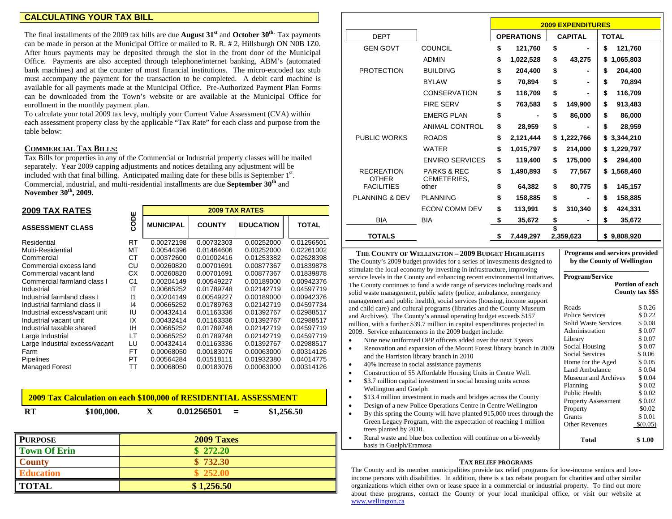### **CALCULATING YOUR TAX BILL**

The final installments of the 2009 tax bills are due **August 31s<sup>t</sup>** and **October 30th.** Tax pay ments can be made in person at the Municipal Office or mailed to R. R. # 2, Hillsburgh ON N0B 1Z0. After hours pay ments may be deposited through the slot in the front door of the Municipal Office. Pay ments are also accepted through telephone/internet banking, ABM's (automated bank machines) and at the counter of most financial institutions. The micro-encoded tax stub must accompany the payment for the transaction to be completed. A debit card machine is available for all payments made at the Municipal Office. Pre-Authorized Payment Plan Forms can be downloaded from the Town's website or are available at the Municipal Office for enrollment in the monthly payment plan.

To calculate your total 2009 tax levy, multiply your Current Value Assessment (CVA) within each assessment property class by the applicable "Tax Rate" for each class and purpose from the table below:

### **COMMERCIAL TAXBILLS:**

Tax Bills for properties in any of the Com mercial or Industrial property classes will be mailed separately. Year 2009 capping adjustments and notices detailing any adjustment will be included with that final billing. Anticipated mailing date for these bills is September  $1<sup>st</sup>$ . Com mercial, industrial, and multi-residential installments are due **Septe mber 30th** and **November 30th, 2009.** 

| <b>2009 TAX RATES</b>          | <b>2009 TAX RATES</b> |                  |               |                  |              |  |  |
|--------------------------------|-----------------------|------------------|---------------|------------------|--------------|--|--|
| <b>ASSESSMENT CLASS</b>        | CODE                  | <b>MUNICIPAL</b> | <b>COUNTY</b> | <b>EDUCATION</b> | <b>TOTAL</b> |  |  |
| Residential                    | <b>RT</b>             | 0.00272198       | 0.00732303    | 0.00252000       | 0.01256501   |  |  |
| Multi-Residential              | МT                    | 0.00544396       | 0.01464606    | 0.00252000       | 0.02261002   |  |  |
| Commercial                     | СT                    | 0.00372600       | 0.01002416    | 0.01253382       | 0.02628398   |  |  |
| Commercial excess land         | СU                    | 0.00260820       | 0.00701691    | 0.00877367       | 0.01839878   |  |  |
| Commercial vacant land         | СX                    | 0.00260820       | 0.00701691    | 0.00877367       | 0.01839878   |  |  |
| Commercial farmland class I    | C <sub>1</sub>        | 0.00204149       | 0.00549227    | 0.00189000       | 0.00942376   |  |  |
| Industrial                     | IT                    | 0.00665252       | 0.01789748    | 0.02142719       | 0.04597719   |  |  |
| Industrial farmland class I    | 11                    | 0.00204149       | 0.00549227    | 0.00189000       | 0.00942376   |  |  |
| Industrial farmland class II   | 4                     | 0.00665252       | 0.01789763    | 0.02142719       | 0.04597734   |  |  |
| Industrial excess/vacant unit  | IU                    | 0.00432414       | 0.01163336    | 0.01392767       | 0.02988517   |  |  |
| Industrial vacant unit         | IX                    | 0.00432414       | 0.01163336    | 0.01392767       | 0.02988517   |  |  |
| Industrial taxable shared      | ΙH                    | 0.00665252       | 0.01789748    | 0.02142719       | 0.04597719   |  |  |
| Large Industrial               | LТ                    | 0.00665252       | 0.01789748    | 0.02142719       | 0.04597719   |  |  |
| Large Industrial excess/vacant | LU                    | 0.00432414       | 0.01163336    | 0.01392767       | 0.02988517   |  |  |
| Farm                           | <b>FT</b>             | 0.00068050       | 0.00183076    | 0.00063000       | 0.00314126   |  |  |
| <b>Pipelines</b>               | PT.                   | 0.00564284       | 0.01518111    | 0.01932380       | 0.04014775   |  |  |
| <b>Managed Forest</b>          | TT                    | 0.00068050       | 0.00183076    | 0.00063000       | 0.00314126   |  |  |

#### **2009 Tax Calculation on each \$100,000 of RESIDENTIAL ASSESSMENT \$**

| л | <b>RT</b> | \$100,000. |  | 0.01256501 |  | \$1,256.50 |
|---|-----------|------------|--|------------|--|------------|
|---|-----------|------------|--|------------|--|------------|

| <b>PURPOSE</b>      | 2009 Taxes |
|---------------------|------------|
| <b>Town Of Erin</b> | \$272.20   |
| <b>County</b>       | \$732.30   |
| <b>Education</b>    | \$252.00   |
| <b>TOTAL</b>        | \$1,256.50 |

|                                   |                                       | <b>2009 EXPENDITURES</b> |                   |    |                |                 |
|-----------------------------------|---------------------------------------|--------------------------|-------------------|----|----------------|-----------------|
| <b>DEPT</b>                       |                                       |                          | <b>OPERATIONS</b> |    | <b>CAPITAL</b> | <b>TOTAL</b>    |
| <b>GEN GOVT</b>                   | <b>COUNCIL</b>                        | \$                       | 121,760           | \$ |                | \$<br>121,760   |
|                                   | <b>ADMIN</b>                          | \$                       | 1,022,528         | \$ | 43,275         | \$<br>1,065,803 |
| <b>PROTECTION</b>                 | <b>BUILDING</b>                       | \$                       | 204.400           | \$ |                | \$<br>204,400   |
|                                   | <b>BYLAW</b>                          | \$                       | 70.894            | \$ |                | \$<br>70.894    |
|                                   | <b>CONSERVATION</b>                   | \$                       | 116,709           | \$ |                | \$<br>116,709   |
|                                   | <b>FIRE SERV</b>                      | \$                       | 763,583           | \$ | 149,900        | \$<br>913,483   |
|                                   | <b>EMERG PLAN</b>                     | \$                       |                   | \$ | 86,000         | \$<br>86,000    |
|                                   | <b>ANIMAL CONTROL</b>                 | \$                       | 28,959            | \$ |                | \$<br>28,959    |
| <b>PUBLIC WORKS</b>               | <b>ROADS</b>                          | \$                       | 2,121,444         | \$ | 1,222,766      | \$<br>3,344,210 |
|                                   | <b>WATER</b>                          | \$                       | 1,015,797         | \$ | 214,000        | 1,229,797<br>S  |
|                                   | <b>ENVIRO SERVICES</b>                | \$                       | 119,400           | \$ | 175,000        | \$<br>294,400   |
| <b>RECREATION</b><br><b>OTHER</b> | <b>PARKS &amp; REC</b><br>CEMETERIES, | \$                       | 1,490,893         | \$ | 77,567         | \$<br>1,568,460 |
| <b>FACILITIES</b>                 | other                                 | \$                       | 64,382            | \$ | 80,775         | \$<br>145,157   |
| <b>PLANNING &amp; DEV</b>         | <b>PLANNING</b>                       | \$                       | 158,885           | \$ |                | \$<br>158,885   |
|                                   | ECON/ COMM DEV                        | \$                       | 113,991           | \$ | 310,340        | \$<br>424,331   |
| <b>BIA</b>                        | <b>BIA</b>                            | \$                       | 35,672            | \$ |                | \$<br>35,672    |
| <b>TOTALS</b>                     |                                       | \$                       | 7,449,297         |    | 2,359,623      | 9,808,920<br>\$ |

**Progra ms and services provided by the County of Wellington \_\_\_\_\_\_\_\_\_\_\_\_\_\_\_\_\_\_\_\_\_\_\_\_\_** 

Roads \$ 0.26 Police Services \$ 0.22 Solid Waste Services \$ 0.08 Administration \$ 0.07 Library \$ 0.07 Social Housing  $$ 0.07$ Social Services \$ 0.06

Planning \$ 0.02 Public Health  $$0.02$ 

Other Revenues  $\qquad$  \$(0.05)

**Portion of each County tax \$\$\$**

 $$ 0.02$ 

**Progra m/Service**

**THE COUNTY OFWELLINGTON – 2009 BUDGET HIGHLIGHTS**The County's 2009 budget provides for a series of investments designed to stimulate the local econo my by investing in infrastructure, improving service levels in the County and enhancing recent environ mental initiatives. The County continues to fund a wide range of services including roads and solid waste management, public safety (police, a mbulance, e mergency management and public health), social services (housing, inco me support and child care) and cultural programs (libraries and the County Museu mand Archives). The County's annual operating budget exceeds \$157 million, with a further \$39.7 million in capital expenditures projected in 2009. Service enhancements in the 2009 budget include: •Nine new uniformed OPP officers added over the next 3 years

- • Renovation and expansion of the Mount Forest library branch in 2009 and the Harriston library branch in 2010
	- 40% increase in social assistance payments Construction of 55 Affordable Housing Units in Centre Well. Home for the Aged \$ 0.05 Land Ambulance \$ 0.04 Museu m and Archives \$ 0.04
- • \$3.7 million capital investment in social housing units across Wellington and Guelph

•

•

•

•

- •• \$13.4 million investment in roads and bridges across the County
- Design of a new Police Operations Centre in Centre Wellington By this spring the County will have planted 915,000 trees through the Property Assess Property  $$0.02$ Grants \$ 0.01
- Green Legacy Progra m, with the expectation of reaching 1 million trees planted by 2010.
- • Rural waste and blue box collection will continue on a bi-weekly basis in Guelph/Eramosa  **Total \$ 1.00**

#### **TAX RELIEF PROGRAMS**

The County and its member municipalities provide tax relief progra ms for low-income seniors and lowinco me persons with disabilities. In addition, there is a tax rebate program for charities and other si milar organizations which either own or lease space in a co mmercial or industrial property. To find out more about these programs, contact the County or your local municipal office, or visit our website at [www.wellington.ca](http://www.wellington.ca/)